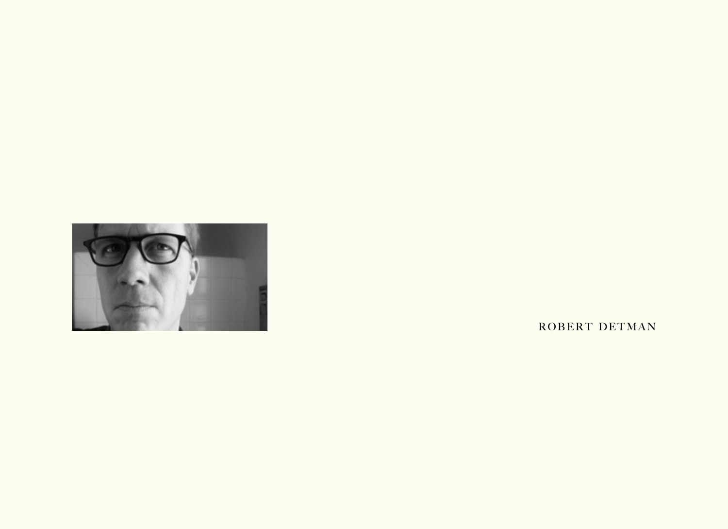

ROBERT DETMAN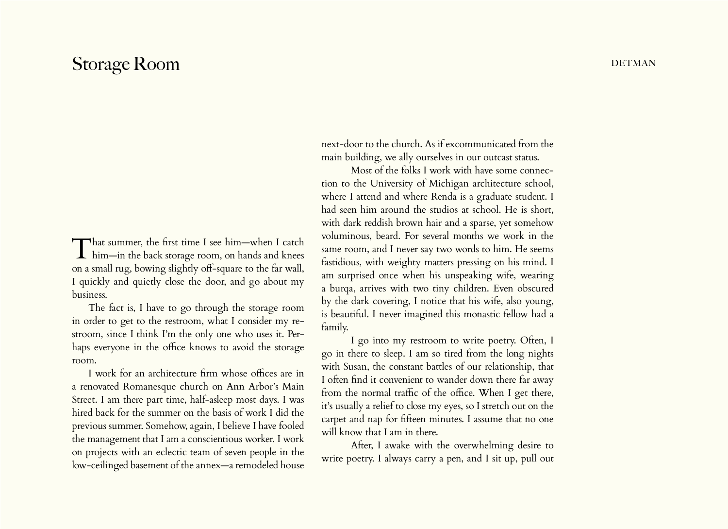## Storage Room DETMAN

That summer, the first time I see him—when I catch him—in the back storage room, on hands and knees on a small rug, bowing slightly off-square to the far wall, I quickly and quietly close the door, and go about my business.

The fact is, I have to go through the storage room in order to get to the restroom, what I consider my restroom, since I think I'm the only one who uses it. Perhaps everyone in the office knows to avoid the storage room.

I work for an architecture firm whose offices are in a renovated Romanesque church on Ann Arbor's Main Street. I am there part time, half-asleep most days. I was hired back for the summer on the basis of work I did the previous summer. Somehow, again, I believe I have fooled the management that I am a conscientious worker. I work on projects with an eclectic team of seven people in the low-ceilinged basement of the annex—a remodeled house next-door to the church. As if excommunicated from the main building, we ally ourselves in our outcast status.

Most of the folks I work with have some connection to the University of Michigan architecture school, where I attend and where Renda is a graduate student. I had seen him around the studios at school. He is short, with dark reddish brown hair and a sparse, yet somehow voluminous, beard. For several months we work in the same room, and I never say two words to him. He seems fastidious, with weighty matters pressing on his mind. I am surprised once when his unspeaking wife, wearing a burqa, arrives with two tiny children. Even obscured by the dark covering, I notice that his wife, also young, is beautiful. I never imagined this monastic fellow had a family.

I go into my restroom to write poetry. Often, I go in there to sleep. I am so tired from the long nights with Susan, the constant battles of our relationship, that I often find it convenient to wander down there far away from the normal traffic of the office. When I get there, it's usually a relief to close my eyes, so I stretch out on the carpet and nap for fifteen minutes. I assume that no one will know that I am in there.

After, I awake with the overwhelming desire to write poetry. I always carry a pen, and I sit up, pull out